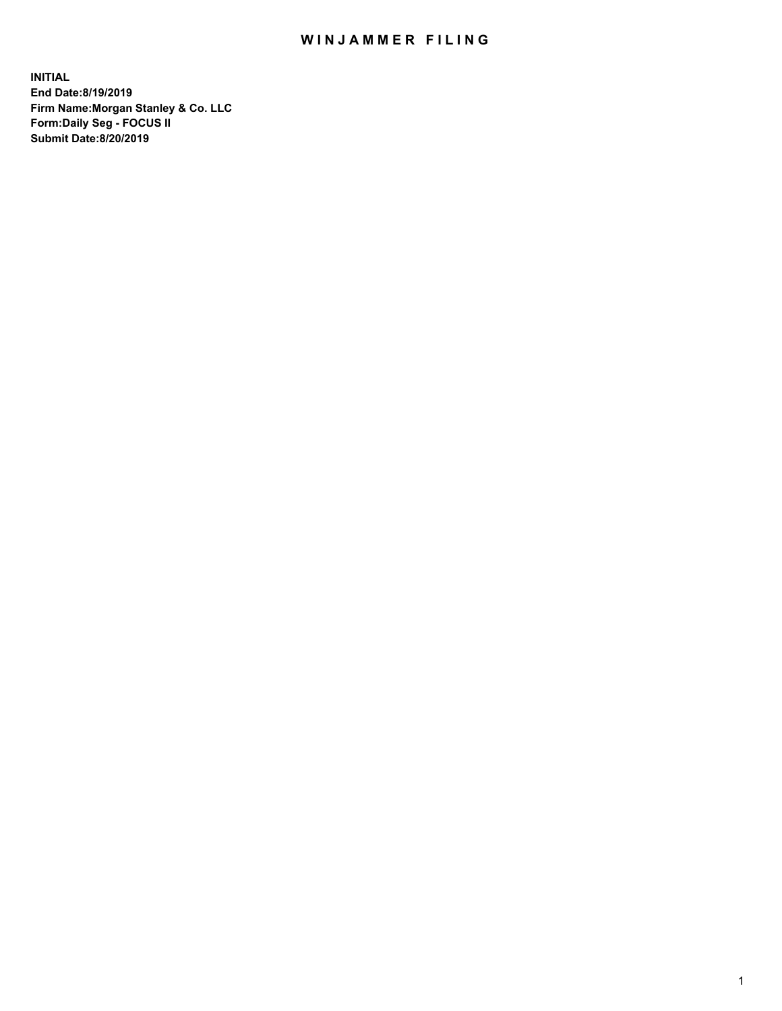## WIN JAMMER FILING

**INITIAL End Date:8/19/2019 Firm Name:Morgan Stanley & Co. LLC Form:Daily Seg - FOCUS II Submit Date:8/20/2019**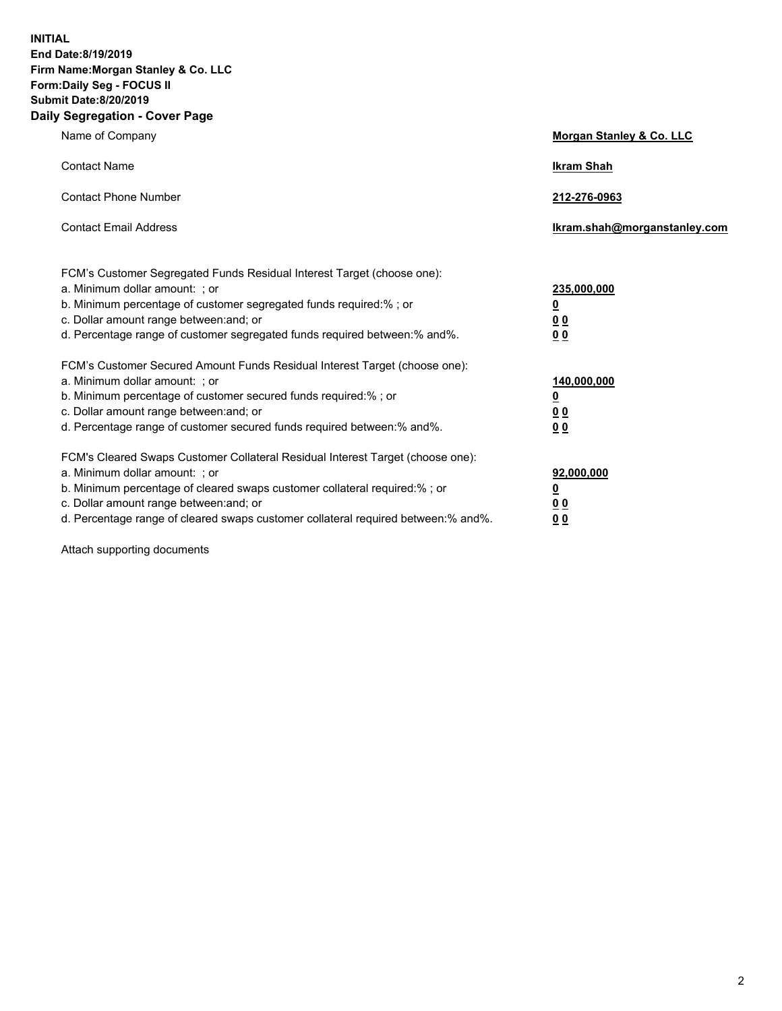**INITIAL End Date:8/19/2019 Firm Name:Morgan Stanley & Co. LLC Form:Daily Seg - FOCUS II Submit Date:8/20/2019 Daily Segregation - Cover Page**

| Name of Company                                                                                                                                                                                                                                                                                                                                                                                          | Morgan Stanley & Co. LLC                                                |
|----------------------------------------------------------------------------------------------------------------------------------------------------------------------------------------------------------------------------------------------------------------------------------------------------------------------------------------------------------------------------------------------------------|-------------------------------------------------------------------------|
| <b>Contact Name</b>                                                                                                                                                                                                                                                                                                                                                                                      | <b>Ikram Shah</b>                                                       |
| <b>Contact Phone Number</b>                                                                                                                                                                                                                                                                                                                                                                              | 212-276-0963                                                            |
| <b>Contact Email Address</b>                                                                                                                                                                                                                                                                                                                                                                             | Ikram.shah@morganstanley.com                                            |
| FCM's Customer Segregated Funds Residual Interest Target (choose one):<br>a. Minimum dollar amount: ; or<br>b. Minimum percentage of customer segregated funds required:% ; or<br>c. Dollar amount range between: and; or<br>d. Percentage range of customer segregated funds required between: % and %.                                                                                                 | 235,000,000<br><u>0</u><br><u>00</u>                                    |
| FCM's Customer Secured Amount Funds Residual Interest Target (choose one):<br>a. Minimum dollar amount: ; or<br>b. Minimum percentage of customer secured funds required:%; or<br>c. Dollar amount range between: and; or                                                                                                                                                                                | 0 <sup>0</sup><br>140,000,000<br><u>0</u><br>0 <sub>0</sub>             |
| d. Percentage range of customer secured funds required between:% and%.<br>FCM's Cleared Swaps Customer Collateral Residual Interest Target (choose one):<br>a. Minimum dollar amount: ; or<br>b. Minimum percentage of cleared swaps customer collateral required:% ; or<br>c. Dollar amount range between: and; or<br>d. Percentage range of cleared swaps customer collateral required between:% and%. | 0 <sub>0</sub><br>92,000,000<br><u>0</u><br><u>00</u><br>0 <sup>0</sup> |

Attach supporting documents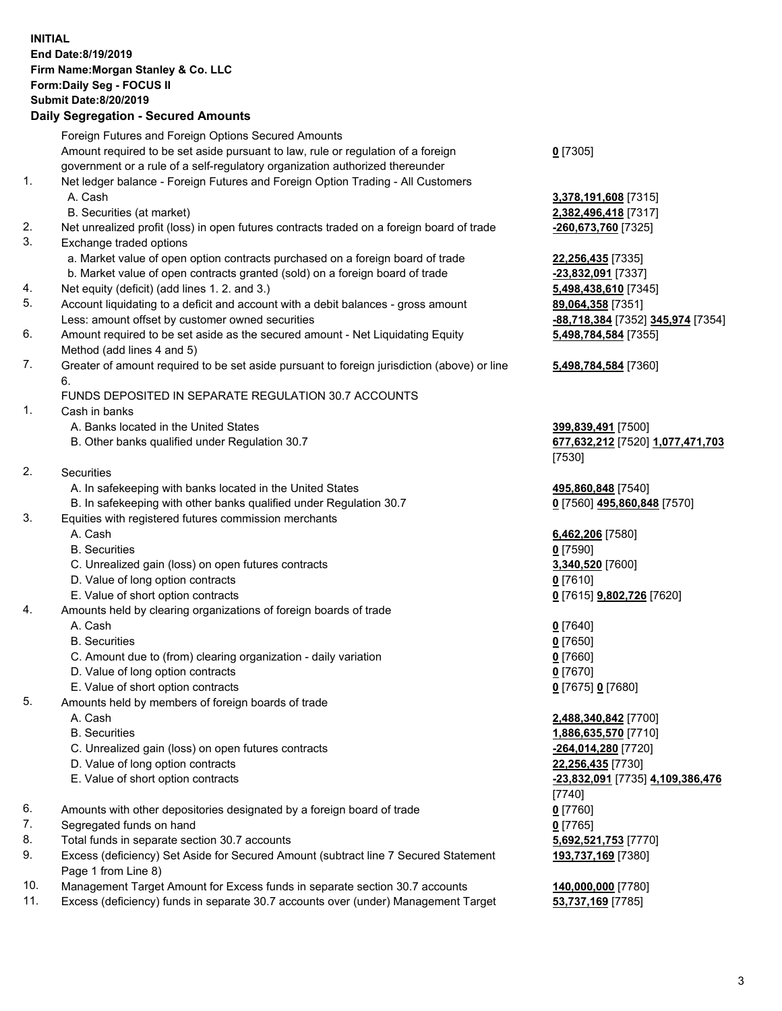## **INITIAL End Date:8/19/2019 Firm Name:Morgan Stanley & Co. LLC Form:Daily Seg - FOCUS II Submit Date:8/20/2019**

## **Daily Segregation - Secured Amounts**

|    | Foreign Futures and Foreign Options Secured Amounts                                         |                                   |
|----|---------------------------------------------------------------------------------------------|-----------------------------------|
|    | Amount required to be set aside pursuant to law, rule or regulation of a foreign            | $0$ [7305]                        |
|    | government or a rule of a self-regulatory organization authorized thereunder                |                                   |
| 1. | Net ledger balance - Foreign Futures and Foreign Option Trading - All Customers             |                                   |
|    | A. Cash                                                                                     | 3,378,191,608 [7315]              |
|    | B. Securities (at market)                                                                   | 2,382,496,418 [7317]              |
| 2. | Net unrealized profit (loss) in open futures contracts traded on a foreign board of trade   | -260,673,760 [7325]               |
| 3. | Exchange traded options                                                                     |                                   |
|    | a. Market value of open option contracts purchased on a foreign board of trade              | 22,256,435 [7335]                 |
|    | b. Market value of open contracts granted (sold) on a foreign board of trade                | -23,832,091 [7337]                |
| 4. | Net equity (deficit) (add lines 1.2. and 3.)                                                | 5,498,438,610 [7345]              |
| 5. | Account liquidating to a deficit and account with a debit balances - gross amount           | 89,064,358 [7351]                 |
|    | Less: amount offset by customer owned securities                                            | -88,718,384 [7352] 345,974 [7354] |
| 6. | Amount required to be set aside as the secured amount - Net Liquidating Equity              | 5,498,784,584 [7355]              |
|    | Method (add lines 4 and 5)                                                                  |                                   |
| 7. | Greater of amount required to be set aside pursuant to foreign jurisdiction (above) or line | 5,498,784,584 [7360]              |
|    | 6.                                                                                          |                                   |
|    | FUNDS DEPOSITED IN SEPARATE REGULATION 30.7 ACCOUNTS                                        |                                   |
| 1. | Cash in banks                                                                               |                                   |
|    | A. Banks located in the United States                                                       | 399,839,491 [7500]                |
|    | B. Other banks qualified under Regulation 30.7                                              | 677,632,212 [7520] 1,077,471,703  |
|    |                                                                                             | [7530]                            |
| 2. | Securities                                                                                  |                                   |
|    | A. In safekeeping with banks located in the United States                                   | 495,860,848 [7540]                |
|    | B. In safekeeping with other banks qualified under Regulation 30.7                          | 0 [7560] 495,860,848 [7570]       |
| 3. | Equities with registered futures commission merchants                                       |                                   |
|    | A. Cash                                                                                     | 6,462,206 [7580]                  |
|    | <b>B.</b> Securities                                                                        | $0$ [7590]                        |
|    | C. Unrealized gain (loss) on open futures contracts                                         | 3,340,520 [7600]                  |
|    | D. Value of long option contracts                                                           | $0$ [7610]                        |
|    | E. Value of short option contracts                                                          | 0 [7615] 9,802,726 [7620]         |
| 4. | Amounts held by clearing organizations of foreign boards of trade                           |                                   |
|    | A. Cash                                                                                     | $0$ [7640]                        |
|    | <b>B.</b> Securities                                                                        | $0$ [7650]                        |
|    | C. Amount due to (from) clearing organization - daily variation                             | $0$ [7660]                        |
|    | D. Value of long option contracts                                                           | $0$ [7670]                        |
|    | E. Value of short option contracts                                                          | 0 [7675] 0 [7680]                 |
| 5. | Amounts held by members of foreign boards of trade                                          |                                   |
|    | A. Cash                                                                                     | 2,488,340,842 [7700]              |
|    | <b>B.</b> Securities                                                                        | 1,886,635,570 [7710]              |
|    | C. Unrealized gain (loss) on open futures contracts                                         | -264,014,280 [7720]               |
|    | D. Value of long option contracts                                                           | 22,256,435 [7730]                 |
|    | E. Value of short option contracts                                                          | -23,832,091 [7735] 4,109,386,476  |
|    |                                                                                             | [7740]                            |
| 6. | Amounts with other depositories designated by a foreign board of trade                      | $0$ [7760]                        |
| 7. | Segregated funds on hand                                                                    | $0$ [7765]                        |
| 8. | Total funds in separate section 30.7 accounts                                               | 5,692,521,753 [7770]              |
| 9. | Excess (deficiency) Set Aside for Secured Amount (subtract line 7 Secured Statement         | 193,737,169 [7380]                |
|    | Page 1 from Line 8)                                                                         |                                   |

- 10. Management Target Amount for Excess funds in separate section 30.7 accounts **140,000,000** [7780]
- 11. Excess (deficiency) funds in separate 30.7 accounts over (under) Management Target **53,737,169** [7785]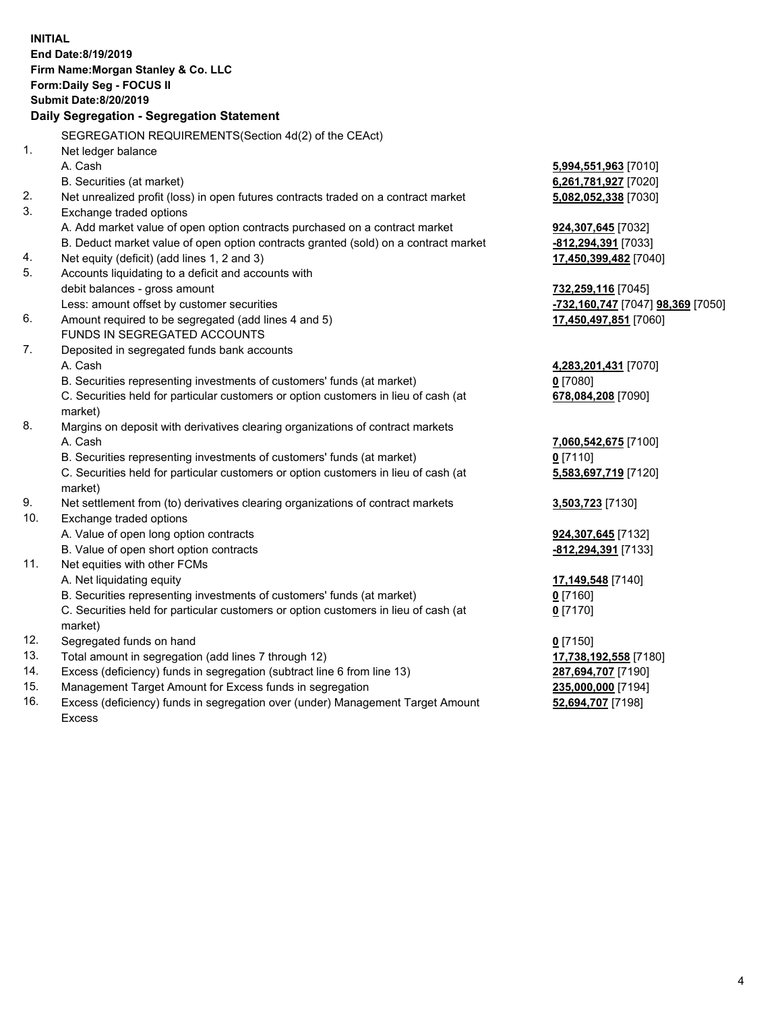|     | <b>INITIAL</b>                                                                                         |                                                       |
|-----|--------------------------------------------------------------------------------------------------------|-------------------------------------------------------|
|     | End Date: 8/19/2019                                                                                    |                                                       |
|     | Firm Name: Morgan Stanley & Co. LLC                                                                    |                                                       |
|     | Form: Daily Seg - FOCUS II                                                                             |                                                       |
|     | <b>Submit Date: 8/20/2019</b>                                                                          |                                                       |
|     | Daily Segregation - Segregation Statement                                                              |                                                       |
|     | SEGREGATION REQUIREMENTS(Section 4d(2) of the CEAct)                                                   |                                                       |
| 1.  | Net ledger balance                                                                                     |                                                       |
|     | A. Cash                                                                                                |                                                       |
|     | B. Securities (at market)                                                                              | 5,994,551,963 [7010]<br>6,261,781,927 [7020]          |
| 2.  | Net unrealized profit (loss) in open futures contracts traded on a contract market                     |                                                       |
| 3.  |                                                                                                        | 5,082,052,338 [7030]                                  |
|     | Exchange traded options<br>A. Add market value of open option contracts purchased on a contract market |                                                       |
|     | B. Deduct market value of open option contracts granted (sold) on a contract market                    | 924,307,645 [7032]                                    |
| 4.  | Net equity (deficit) (add lines 1, 2 and 3)                                                            | -812,294,391 [7033]                                   |
| 5.  | Accounts liquidating to a deficit and accounts with                                                    | 17,450,399,482 [7040]                                 |
|     | debit balances - gross amount                                                                          | 732,259,116 [7045]                                    |
|     | Less: amount offset by customer securities                                                             | <mark>-732,160,747</mark> [7047] <b>98,369</b> [7050] |
| 6.  | Amount required to be segregated (add lines 4 and 5)                                                   | 17,450,497,851 [7060]                                 |
|     | FUNDS IN SEGREGATED ACCOUNTS                                                                           |                                                       |
| 7.  | Deposited in segregated funds bank accounts                                                            |                                                       |
|     | A. Cash                                                                                                | 4,283,201,431 [7070]                                  |
|     | B. Securities representing investments of customers' funds (at market)                                 | $0$ [7080]                                            |
|     | C. Securities held for particular customers or option customers in lieu of cash (at                    | 678,084,208 [7090]                                    |
|     | market)                                                                                                |                                                       |
| 8.  | Margins on deposit with derivatives clearing organizations of contract markets                         |                                                       |
|     | A. Cash                                                                                                | 7,060,542,675 [7100]                                  |
|     | B. Securities representing investments of customers' funds (at market)                                 | $0$ [7110]                                            |
|     | C. Securities held for particular customers or option customers in lieu of cash (at                    | 5,583,697,719 [7120]                                  |
|     | market)                                                                                                |                                                       |
| 9.  | Net settlement from (to) derivatives clearing organizations of contract markets                        | 3,503,723 [7130]                                      |
| 10. | Exchange traded options                                                                                |                                                       |
|     | A. Value of open long option contracts                                                                 | 924, 307, 645 [7132]                                  |
|     | B. Value of open short option contracts                                                                | -812,294,391 [7133]                                   |
| 11. | Net equities with other FCMs                                                                           |                                                       |
|     | A. Net liquidating equity                                                                              | 17,149,548 [7140]                                     |
|     | B. Securities representing investments of customers' funds (at market)                                 | $0$ [7160]                                            |
|     | C. Securities held for particular customers or option customers in lieu of cash (at                    | $0$ [7170]                                            |
|     | market)                                                                                                |                                                       |
| 12. | Segregated funds on hand                                                                               | $0$ [7150]                                            |
| 13. | Total amount in segregation (add lines 7 through 12)                                                   | 17,738,192,558 [7180]                                 |
| 14. | Excess (deficiency) funds in segregation (subtract line 6 from line 13)                                | 287,694,707 [7190]                                    |
| 15. | Management Target Amount for Excess funds in segregation                                               | 235,000,000 [7194]                                    |
| 16. | Excess (deficiency) funds in segregation over (under) Management Target Amount                         | 52,694,707 [7198]                                     |

16. Excess (deficiency) funds in segregation over (under) Management Target Amount Excess